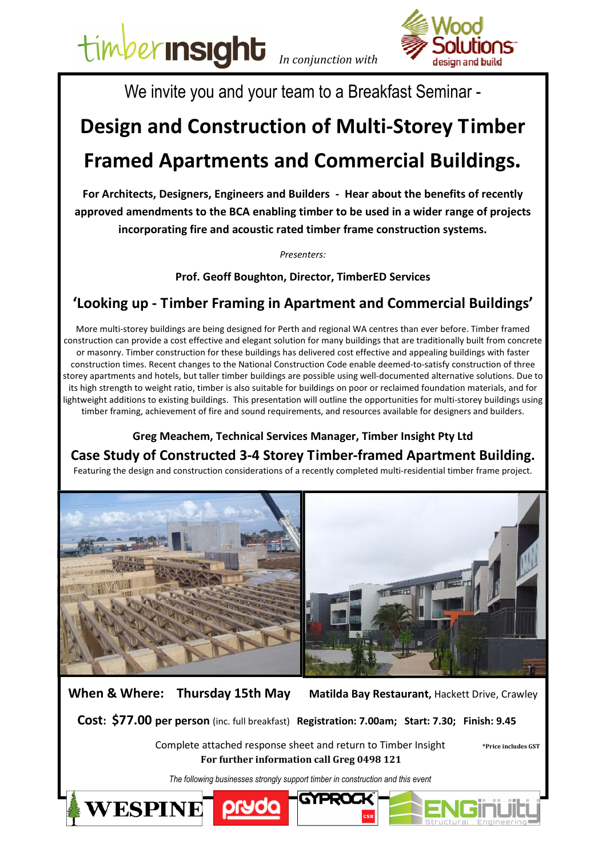timber **In SIght** In conjunction with



We invite you and your team to a Breakfast Seminar -

## Design and Construction of Multi-Storey Timber Framed Apartments and Commercial Buildings.

For Architects, Designers, Engineers and Builders - Hear about the benefits of recently approved amendments to the BCA enabling timber to be used in a wider range of projects incorporating fire and acoustic rated timber frame construction systems.

Presenters:

Prof. Geoff Boughton, Director, TimberED Services

## 'Looking up - Timber Framing in Apartment and Commercial Buildings'

More multi-storey buildings are being designed for Perth and regional WA centres than ever before. Timber framed construction can provide a cost effective and elegant solution for many buildings that are traditionally built from concrete or masonry. Timber construction for these buildings has delivered cost effective and appealing buildings with faster construction times. Recent changes to the National Construction Code enable deemed-to-satisfy construction of three storey apartments and hotels, but taller timber buildings are possible using well-documented alternative solutions. Due to its high strength to weight ratio, timber is also suitable for buildings on poor or reclaimed foundation materials, and for lightweight additions to existing buildings. This presentation will outline the opportunities for multi-storey buildings using timber framing, achievement of fire and sound requirements, and resources available for designers and builders.

Greg Meachem, Technical Services Manager, Timber Insight Pty Ltd Case Study of Constructed 3-4 Storey Timber-framed Apartment Building. Featuring the design and construction considerations of a recently completed multi-residential timber frame project.



When & Where: Thursday 15th May Matilda Bay Restaurant, Hackett Drive, Crawley

Cost: \$77.00 per person (inc. full breakfast) Registration: 7.00am; Start: 7.30; Finish: 9.45

Complete attached response sheet and return to Timber Insight \*\*\*\*\*\*\*\* \*\*\*\*\*\*\*\*\*\* For further information call Greg 0498 121

The following businesses strongly support timber in construction and this event